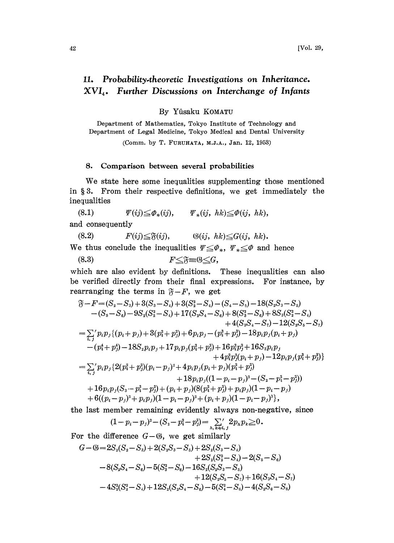## 11, Probability.theoretic Investigations on Inheritance,  $XVI<sub>4</sub>$ . Further Discussions on Interchange of Infants

By Yfisaku KOMATU

Department of Mathematics, Tokyo Institute of Technology and Department of Legal Medicine, Tokyo Medical and Dental University

(Comm. by T. FURUIATA, M.J.A., Jan. 12, 1953)

## 8. Comparison between several probabilities

We state here some inequalities supplementing those mentioned in  $\S 3$ . From their respective definitions, we get immediately the inequalities

(8.1)  $\qquad \qquad \mathcal{F}(ij) \leq \varPhi_*(ij), \qquad \mathcal{F}_*(ij, hk) \leq \varPhi(ij, hk),$ and consequently

(8.2)  $F(ij) \leq \mathfrak{F}(ij), \qquad \mathfrak{G}(ij, hk) \leq G(ij, hk).$ and consequently<br>
(8.2)  $F(ij) \leq \mathfrak{F}(ij)$ ,  $\mathfrak{G}(ij, hk) \leq G(ij, hk)$ .<br>
We thus conclude the inequalities  $\Psi \leq \Phi_*, \ \Psi_* \leq \Phi$  and hence

We thus conclude the inequalities 
$$
\mathcal{F} \leq \mathcal{G}
$$
\n $(8.3)$ \n $F \leq \mathfrak{F} = \mathfrak{G} \leq G$ 

which are also evident by definitions. These inequalities can also be verified directly from their final expressions. For instance, by rearranging the terms in  $\mathfrak{F} - F$ , we get

$$
\mathfrak{F}-F=(S_2-S_3)+3(S_3-S_4)+3(S_2^2-S_4)-(S_4-S_5)-18(S_2S_3-S_6)-(S_5-S_6)-9S_2(S_2^2-S_4)+17(S_2S_4-S_6)+8(S_3^2-S_6)+8S_3(S_2^2-S_4)+4(S_3S_4-S_7)-12(S_2S_5-S_7)=\sum_{i,j}^{\prime\prime}p_ip_j\{(p_i+p_j)+3(p_i^2+p_j^2)+6p_ip_j-(p_i^3+p_j^3)-18p_ip_j(p_i+p_j)-(p_i^4+p_j^4)-18S_2p_ip_j+17p_ip_j(p_i^2+p_j^2)+16p_i^2p_j^2+16S_3p_ip_j+4p_i^2p_j^2(p_i+p_j)-12p_ip_j(p_i^3+p_j^3)\}=\sum_{i,j}^{\prime\prime}p_ip_j\{2(p_i^2+p_j^2)(p_i-p_j)^2+4p_ip_j(p_i+p_j)(p_i^2+p_j^2)+18p_ip_j((1-p_i-p_j)^2-(S_2-p_i^2-p_j^2))+16p_ip_j(S_3-p_i^3-p_j^3)+(p_i+p_j)(8(p_i^2+p_j^2)+p_ip_j)(1-p_i-p_j)+6((p_i-p_j)^2+p_ip_j)(1-p_i-p_j)^2+(p_i+p_j)(1-p_i-p_j)^3\},
$$

the last member remaining evidently always non-negative, since

$$
(1-p_i-p_j)^2-(S_2-p_i^2-p_j^2)=\sum_{h,\,k\neq i,\,j}2p_np_k\geq 0.
$$

For the difference  $G-\mathfrak{G}$ , we get similarly

$$
G - S = 2S_2(S_2 - S_3) + 2(S_2S_3 - S_5) + 2S_2(S_3 - S_4)
$$
  
+ 2S<sub>2</sub>(S<sub>2</sub><sup>2</sup> - S<sub>4</sub>) - 2(S<sub>5</sub> - S<sub>6</sub>)  
- 8(S<sub>2</sub>S<sub>4</sub> - S<sub>6</sub>) - 5(S<sub>3</sub><sup>2</sup> - S<sub>6</sub>) - 16S<sub>2</sub>(S<sub>2</sub>S<sub>3</sub> - S<sub>6</sub>)  
+ 12(S<sub>2</sub>S<sub>5</sub> - S<sub>7</sub>) + 16(S<sub>3</sub>S<sub>4</sub> - S<sub>7</sub>)  
- 4S<sub>2</sub><sup>2</sup>(S<sub>2</sub><sup>2</sup> - S<sub>4</sub>) + 12S<sub>2</sub>(S<sub>2</sub>S<sub>4</sub> - S<sub>6</sub>) - 5(S<sub>4</sub><sup>2</sup> - S<sub>8</sub>) - 4(S<sub>2</sub>S<sub>6</sub> - S<sub>8</sub>)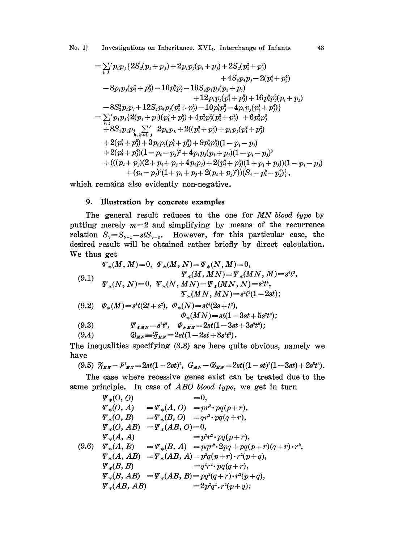No. 1] Investigations on Inheritance. XVI<sub>4</sub>. Interchange of Infants 43

$$
= \sum_{i,j}^{\prime} p_i p_j \{2S_2(p_i + p_j) + 2p_i p_j(p_i + p_j) + 2S_2(p_i^2 + p_j^2) + 4S_2 p_i p_j - 2(p_i^4 + p_j^4) + 4S_2 p_i p_j - 2(p_i^4 + p_j^4) + 12p_i p_j(p_i^3 + p_j^3) + 16p_i^2 p_j^2(p_i + p_j) + 12p_i p_j(p_i^3 + p_j^3) + 16p_i^2 p_j^2(p_i + p_j) - 8S_2^2 p_i p_j + 12S_2 p_i p_j(p_i^2 + p_j^2) - 10p_i^3 p_j^3 - 4p_i p_j(p_i^4 + p_j^4) \} = \sum_{i,j}^{\prime} p_i p_j \{2(p_i + p_j)(p_i^5 + p_j^6) + 4p_i^3 p_j^2(p_i^2 + p_j^3) + 6p_i^3 p_j^3 + 8S_2 p_i p_j \sum_{i,k \neq i,j}^{\prime} 2p_i p_k + 2((p_i^3 + p_j^3) + p_i p_j(p_i^2 + p_j^2) + 2(p_i^4 + p_j^4)(1 - p_i - p_j) + 2(p_i^4 + p_j^4)(1 - p_i - p_j)^2 + 4p_i p_j(p_i + p_j)(1 - p_i - p_j)^3 + 4((p_i + p_j)(2 + p_i + p_j + 4p_i p_j) + 2(p_i^2 + p_j^2)(1 + p_i + p_j)) (1 - p_i - p_j) + (p_i - p_j)^2(1 + p_i + p_j + 2(p_i + p_j)^2)(S_2 - p_i^2 - p_j^2)\},
$$

which remains also evidently non-negative.

## 9. Illustration by concrete examples

The general result reduces to the one for MN blood type by putting merely  $m=2$  and simplifying by means of the recurrence relation  $S_y=S_{y-1}-stS_{y-2}$ . However, for this particular case, the desired result will be obtained rather briefly by direct calculation. We thus get  $\overline{M}$  -0, r,( $\overline{M}$ -1,  $\overline{M}$ )  $\overline{M}$  -  $\overline{M}$ 

$$
\Psi_{*}(M, M) = 0, \ \Psi_{*}(M, N) = \Psi_{*}(N, M) = 0,
$$
\n
$$
\Psi_{*}(M, MN) = \Psi_{*}(MN, M) = s^{t}t^{3},
$$
\n
$$
\Psi_{*}(N, N) = 0, \ \Psi_{*}(N, MN) = \Psi_{*}(MN, N) = s^{3}t^{4},
$$
\n
$$
\Psi_{*}(MN, MN) = s^{2}t^{2}(1 - 2st);
$$
\n
$$
(9.2) \ \Phi_{*}(M) = s^{t}(2t + s^{2}), \ \Phi_{*}(N) = st^{t}(2s + t^{2}),
$$
\n
$$
\Phi_{*}(MN) = st(1 - 3st + 5s^{2}t^{2});
$$
\n
$$
(9.3) \ \Psi_{*MN} = s^{2}t^{2}, \ \Phi_{*MN} = 2st(1 - 3st + 3s^{2}t^{2});
$$
\n
$$
(9.4) \ \Psi_{*N} = \mathfrak{F}_{MN} = 2st(1 - 2st + 3s^{2}t^{2}).
$$
\n
$$
\Psi_{*N} = \mathfrak{F}_{MN} = 2st(1 - 2st + 3s^{2}t^{2}).
$$
\n
$$
\Psi_{*N} = \mathfrak{F}_{N} = 2st(1 - 2st + 3s^{2}t^{2}).
$$

The inequalities specifying (8.3) are here quite obvious, namely we have

$$
(9.5) \ \ \mathfrak{F}_{MN} - F_{MN} = 2st(1-2st)^2, \ \ G_{MN} - \mathfrak{G}_{MN} = 2st((1-st)^2(1-3st) + 2s^3t^3).
$$

 $\mathfrak{F}_{MN} - F_{MN} = 2st(1 - 2st)^2$ ,  $G_{MN} - \mathfrak{G}_{MN} = 2st((1 - st)^2(1 - 3st) + 2s^3t^3)$ .<br>
Secase where recessive genes exist can be treated due to the cinciple. In case of *ABO blood type*, we get in turn  $\Psi_* (0, 0) = 0$ , The case where recessive genes exist can be treated due to the same principle. In case of ABO blood type, we get in turn

$$
\Psi_*(0, 0) = 0,
$$
\n
$$
\Psi_*(0, A) = \Psi_*(A, 0) = pr^3 \cdot pq(p+r),
$$
\n
$$
\Psi_*(0, B) = \Psi_*(B, 0) = qr^3 \cdot pq(q+r),
$$
\n
$$
\Psi_*(0, AB) = \Psi_*(AB, 0) = 0,
$$
\n
$$
\Psi_*(A, A) = p^2r^2 \cdot pq(p+r),
$$
\n
$$
\Psi_*(A, B) = \Psi_*(B, A) = pqr^2 \cdot 2pq + pq(p+r)(q+r) \cdot r^2,
$$
\n
$$
\Psi_*(A, AB) = \Psi_*(AB, A) = p^2q(p+r) \cdot r^2(p+q),
$$
\n
$$
\Psi_*(B, B) = q^2r^2 \cdot pq(q+r),
$$
\n
$$
\Psi_*(B, AB) = \Psi_*(AB, B) = pq^2(q+r) \cdot r^2(p+q),
$$
\n
$$
\Psi_*(AB, AB) = 2p^2q^2 \cdot r^2(p+q);
$$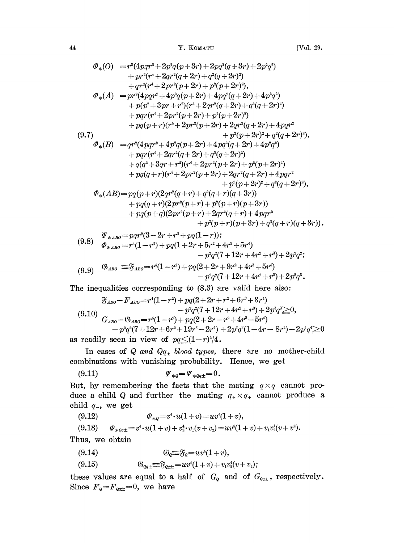$$
\Phi_*(O) = r^3(4pqr^2 + 2p^2q(p+3r) + 2pq^2(q+3r) + 2p^2q^2) \n+ pr^2(r^4 + 2qr^2(q+2r) + q^2(q+2r)^2) \n+ qr^2(r^4 + 2pr^2(p+2r) + p^2(p+2r)^2),
$$
\n
$$
\Phi_*(A) = pr^2(4pqr^2 + 4p^2q(p+2r) + 4pq^2(q+2r) + 4p^2q^2) \n+ p(p^2 + 3pr + r^2)(r^4 + 2qr^2(q+2r) + q^2(q+2r)^2) \n+ pqr(r^4 + 2pr^2(p+2r) + p^2(p+2r)^2) \n+ pq(p+r)(r^4 + 2pr^2(p+2r) + 2qr^2(q+2r) + 4pqr^2 \n+ p^2(p+2r)^2 + q^2(q+2r)^2),
$$
\n
$$
\Phi_*(B) = qr^2(4pqr^2 + 4p^2q(p+2r) + 4pq^2q+2r) + 4p^2q^2) \n+ pqr(r^4 + 2qr^2(q+2r) + q^2(q+2r)^2) \n+ q(q^2 + 3qr + r^2)(r^4 + 2pr^2(p+2r) + p^2(p+2r)^2) \n+ pq(q+r)(r^4 + 2pr^2(p+2r) + 2qr^2(q+2r) + 4pqr^2 \n+ p^2(p+2r)^2 + q^2(q+2r)^2),
$$
\n
$$
\Phi_*(AB) = pq(p+r)(2qr^2(q+r) + q^2(q+r)(q+3r)) \n+ pq(q+r)(2pr^2(p+r) + p^2(p+r)(p+3r)) \n+ pq(p+q)(2pr^2(p+r) + 2qr^2(q+r) + 4pqr^2 \n+ p^2(p+r)(p+3r) + q^2(p+r)(p+3r) + q^2(p+r)(p+3r) + q^2(p+r)(p+3r) + q^2(p+r)(p+3r) + q^2(p+r)(p+3r) + q^2(p+r)(p+3r) + q^2(p+r)(p+3r) + q^2(p+r)(p+3r) + q^2(p+r)(p+3r) + q^2(p+r)(p+3r) + q^2(p+r)(p+3
$$

(9.8) 
$$
\varphi_{*ABO} = r^4(1-r^2) + pq(1+2r+5r^2+4r^3+5r^4) \n- p^2q^2(7+12r+4r^2+r^3)+2p^2q^2;
$$
\n(9.9) 
$$
\mathbb{S}_{ABO} = \mathbb{S}_{ABO} = r^4(1-r^2) + pq(2+2r+9r^2+4r^3+5r^4) \n- p^2q^2(7+12r+4r^2+r^3)+2p^3q^3.
$$

The inequalities corresponding to  $(8.3)$  are valid here also:

$$
\mathfrak{F}_{AB0} - F_{AB0} = r^4(1 - r^2) + pq(2 + 2r + r^2 + 6r^3 + 3r^4)
$$
  
\n
$$
- p^2 q^2 (7 + 12r + 4r^2 + r^3) + 2p^3 q^3 \ge 0,
$$
  
\n
$$
G_{AB0} - \mathfrak{G}_{AB0} = r^4 (1 - r^2) + pq(2 + 2r - r^2 + 4r^3 - 5r^4)
$$
  
\n
$$
- p^2 q^2 (7 + 12r + 6r^2 + 19r^3 - 2r^4) + 2p^3 q^3 (1 - 4r - 8r^2) - 2p^4 q^4 \ge 0
$$
  
\nas readily seen in view of  $p q \le (1 - r)^2/4$ .

In cases of Q and  $Q_{q_{\pm}}$  blood types, there are no mother-child combinations with vanishing probability. Hence, we get

(9.11) ,-- ,q\_+-- 0.

But, by remembering the facts that the mating  $q \times q$  cannot produce a child Q and further the mating  $q_{+} \times q_{+}$  cannot produce a child  $q_$ , we get

(9.12) 
$$
\varPhi_{*q} = v^4 \cdot u(1+v) = uv^4(1+v),
$$

$$
(9.13) \qquad \Phi_{*Qq\pm}=v^4\cdot u(1+v)+v_2^4\cdot v_1(v+v_2)=uv^4(1+v)+v_1v_2^4(v+v^2).
$$

Thus, we obtain

(9.14) (-.=uv(1 + v),

(9.15) 
$$
\mathfrak{G}_{Qq\pm} \equiv \mathfrak{F}_{Qq\pm} = uv^4(1+v) + v_1v_2^4(v+v_2);
$$

these values are equal to a half of  $G_{Q}$  and of  $G_{Qq\pm}$ , respectively. Since  $F_q = F_{qq\pm} = 0$ , we have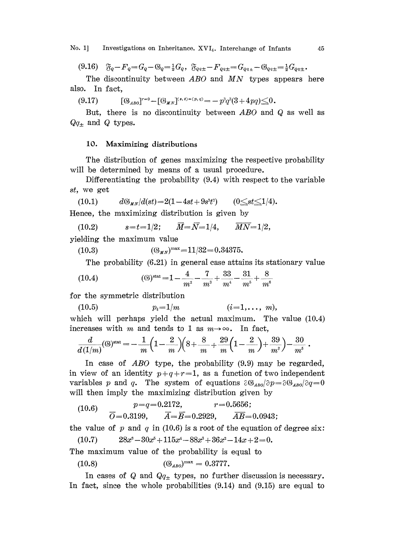No. 1] Investigations on Inheritance. XVI<sub>4</sub>. Interchange of Infants 45

(9.16)  $\delta_{q} - F_{q} = G_{q} - \delta_{q} = \frac{1}{2}G_{q}$ ,  $\delta_{q} = -F_{q} = G_{q} - \delta_{q} = -\frac{1}{2}G_{q}$ .

The discontinuity between  $ABO$  and  $MN$  types appears here also. In fact,

(9.17)  $[\mathbb{G}_{AB0}]^{r=0} - [\mathbb{G}_{MN}]^{(s,t)=(p,q)} = -p^3q^3(3+4pq) \leq 0.$ 

But, there is no discontinuity between ABO and Q as well as  $Qq_{\pm}$  and Q types.

## 10. Maximizing distributions

The distribution of genes maximizing the respective probability will be determined by means of a usual procedure.

Differentiating the probability (9.4) with respect to the variable st, we get

(10.1) 
$$
d\mathfrak{S}_{\mu N}/d(st) = 2(1-4st+9s^{2}t^{2}) \qquad (0 \leq st \leq 1/4).
$$
  
Hence, the maximizing distribution is given by

(10.2)  $s=t=1/2; \qquad \overline{M}=\overline{N}=1/4, \qquad \overline{MN}=1/2,$ 

yielding the maximum value

(10.3)  $(\mathbb{G}_{u,v})^{\max} = 11/32 = 0.34375.$ 

The probability (6.21) in general case attains its stationary value

(10.4) 
$$
\text{(6)}^{\text{stat}} = 1 - \frac{4}{m^2} - \frac{7}{m^3} + \frac{33}{m^4} - \frac{31}{m^5} + \frac{8}{m^6}
$$

for the symmetric distribution

$$
(10.5) \t\t\t p_i=1/m \t\t\t (i=1,\ldots, m),
$$

which will perhaps yield the actual maximum. The value  $(10.4)$ increases with m and tends to 1 as  $m \rightarrow \infty$ . In fact,

$$
\frac{d}{d(1/m)}(6)^{\rm stat} = -\frac{1}{m}\left(1-\frac{2}{m}\right)\!\!\left(8+\frac{8}{m}+\frac{29}{m}\!\left(1-\frac{2}{m}\right)\!+\frac{39}{m^3}\right) - \frac{30}{m^5} \;.
$$

In case of *ABO* type, the probability (9.9) may be regarded, in view of an identity  $p+q+r=1$ , as a function of two independent variables p and q. The system of equations  $\partial \mathcal{B}_{AB0}/\partial p = \partial \mathcal{B}_{AB0}/\partial q = 0$ will then imply the maximizing distribution given by

$$
(10.6) \quad p=q=0.2172, \quad r=0.5656;
$$
\n
$$
\overline{O}=0.3199, \quad \overline{A}=\overline{B}=0.2929, \quad \overline{AB}=0.0943;
$$

the value of p and q in (10.6) is a root of the equation of degree six:

(10.7)  $28x^3 - 30x^5 + 115x^4 - 88x^3 + 36x^2 - 14x + 2 = 0.$ 

The maximum value of the probability is equal to

(10.8) 
$$
(\mathfrak{G}_{AB0})^{\max} = 0.3777.
$$

In cases of Q and  $Q_{q_{\pm}}$  types, no further discussion is necessary. In fact, since the whole probabilities  $(9.14)$  and  $(9.15)$  are equal to